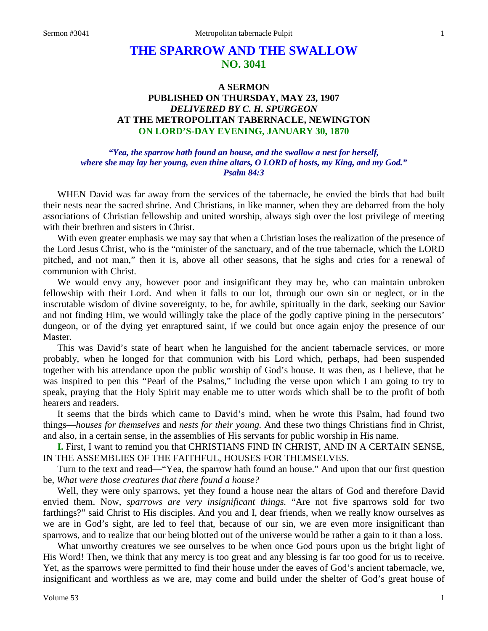# **THE SPARROW AND THE SWALLOW NO. 3041**

# **A SERMON PUBLISHED ON THURSDAY, MAY 23, 1907** *DELIVERED BY C. H. SPURGEON* **AT THE METROPOLITAN TABERNACLE, NEWINGTON ON LORD'S-DAY EVENING, JANUARY 30, 1870**

## *"Yea, the sparrow hath found an house, and the swallow a nest for herself, where she may lay her young, even thine altars, O LORD of hosts, my King, and my God." Psalm 84:3*

WHEN David was far away from the services of the tabernacle, he envied the birds that had built their nests near the sacred shrine. And Christians, in like manner, when they are debarred from the holy associations of Christian fellowship and united worship, always sigh over the lost privilege of meeting with their brethren and sisters in Christ.

With even greater emphasis we may say that when a Christian loses the realization of the presence of the Lord Jesus Christ, who is the "minister of the sanctuary, and of the true tabernacle, which the LORD pitched, and not man," then it is, above all other seasons, that he sighs and cries for a renewal of communion with Christ.

We would envy any, however poor and insignificant they may be, who can maintain unbroken fellowship with their Lord. And when it falls to our lot, through our own sin or neglect, or in the inscrutable wisdom of divine sovereignty, to be, for awhile, spiritually in the dark, seeking our Savior and not finding Him, we would willingly take the place of the godly captive pining in the persecutors' dungeon, or of the dying yet enraptured saint, if we could but once again enjoy the presence of our Master.

This was David's state of heart when he languished for the ancient tabernacle services, or more probably, when he longed for that communion with his Lord which, perhaps, had been suspended together with his attendance upon the public worship of God's house. It was then, as I believe, that he was inspired to pen this "Pearl of the Psalms," including the verse upon which I am going to try to speak, praying that the Holy Spirit may enable me to utter words which shall be to the profit of both hearers and readers.

It seems that the birds which came to David's mind, when he wrote this Psalm, had found two things—*houses for themselves* and *nests for their young.* And these two things Christians find in Christ, and also, in a certain sense, in the assemblies of His servants for public worship in His name.

**I.** First, I want to remind you that CHRISTIANS FIND IN CHRIST, AND IN A CERTAIN SENSE, IN THE ASSEMBLIES OF THE FAITHFUL, HOUSES FOR THEMSELVES.

Turn to the text and read—"Yea, the sparrow hath found an house." And upon that our first question be, *What were those creatures that there found a house?*

Well, they were only sparrows, yet they found a house near the altars of God and therefore David envied them. Now, *sparrows are very insignificant things.* "Are not five sparrows sold for two farthings?" said Christ to His disciples. And you and I, dear friends, when we really know ourselves as we are in God's sight, are led to feel that, because of our sin, we are even more insignificant than sparrows, and to realize that our being blotted out of the universe would be rather a gain to it than a loss.

What unworthy creatures we see ourselves to be when once God pours upon us the bright light of His Word! Then, we think that any mercy is too great and any blessing is far too good for us to receive. Yet, as the sparrows were permitted to find their house under the eaves of God's ancient tabernacle, we, insignificant and worthless as we are, may come and build under the shelter of God's great house of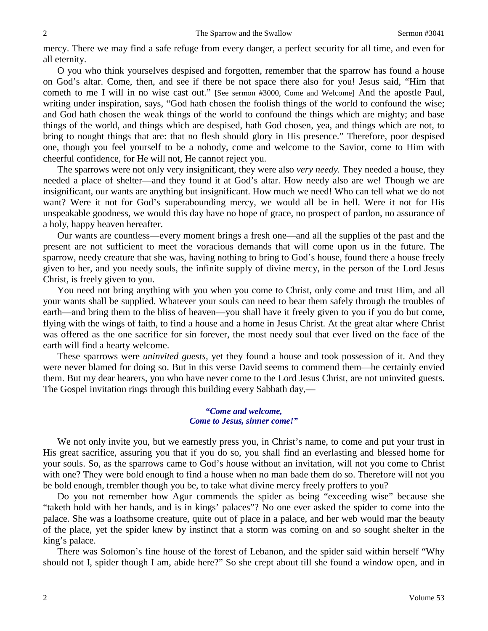mercy. There we may find a safe refuge from every danger, a perfect security for all time, and even for all eternity.

O you who think yourselves despised and forgotten, remember that the sparrow has found a house on God's altar. Come, then, and see if there be not space there also for you! Jesus said, "Him that cometh to me I will in no wise cast out." [See sermon #3000, Come and Welcome] And the apostle Paul, writing under inspiration, says, "God hath chosen the foolish things of the world to confound the wise; and God hath chosen the weak things of the world to confound the things which are mighty; and base things of the world, and things which are despised, hath God chosen, yea, and things which are not, to bring to nought things that are: that no flesh should glory in His presence." Therefore, poor despised one, though you feel yourself to be a nobody, come and welcome to the Savior, come to Him with cheerful confidence, for He will not, He cannot reject you.

The sparrows were not only very insignificant, they were also *very needy.* They needed a house, they needed a place of shelter—and they found it at God's altar. How needy also are we! Though we are insignificant, our wants are anything but insignificant. How much we need! Who can tell what we do not want? Were it not for God's superabounding mercy, we would all be in hell. Were it not for His unspeakable goodness, we would this day have no hope of grace, no prospect of pardon, no assurance of a holy, happy heaven hereafter.

Our wants are countless—every moment brings a fresh one—and all the supplies of the past and the present are not sufficient to meet the voracious demands that will come upon us in the future. The sparrow, needy creature that she was, having nothing to bring to God's house, found there a house freely given to her, and you needy souls, the infinite supply of divine mercy, in the person of the Lord Jesus Christ, is freely given to you.

You need not bring anything with you when you come to Christ, only come and trust Him, and all your wants shall be supplied. Whatever your souls can need to bear them safely through the troubles of earth—and bring them to the bliss of heaven—you shall have it freely given to you if you do but come, flying with the wings of faith, to find a house and a home in Jesus Christ. At the great altar where Christ was offered as the one sacrifice for sin forever, the most needy soul that ever lived on the face of the earth will find a hearty welcome.

These sparrows were *uninvited guests,* yet they found a house and took possession of it. And they were never blamed for doing so. But in this verse David seems to commend them—he certainly envied them. But my dear hearers, you who have never come to the Lord Jesus Christ, are not uninvited guests. The Gospel invitation rings through this building every Sabbath day,—

#### *"Come and welcome, Come to Jesus, sinner come!"*

We not only invite you, but we earnestly press you, in Christ's name, to come and put your trust in His great sacrifice, assuring you that if you do so, you shall find an everlasting and blessed home for your souls. So, as the sparrows came to God's house without an invitation, will not you come to Christ with one? They were bold enough to find a house when no man bade them do so. Therefore will not you be bold enough, trembler though you be, to take what divine mercy freely proffers to you?

Do you not remember how Agur commends the spider as being "exceeding wise" because she "taketh hold with her hands, and is in kings' palaces"? No one ever asked the spider to come into the palace. She was a loathsome creature, quite out of place in a palace, and her web would mar the beauty of the place, yet the spider knew by instinct that a storm was coming on and so sought shelter in the king's palace.

There was Solomon's fine house of the forest of Lebanon, and the spider said within herself "Why should not I, spider though I am, abide here?" So she crept about till she found a window open, and in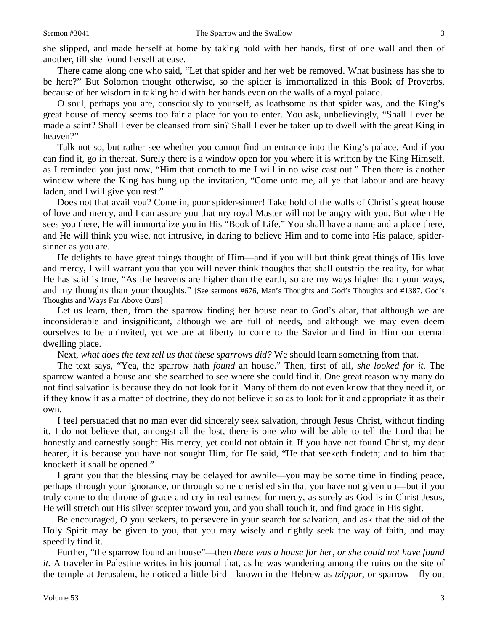she slipped, and made herself at home by taking hold with her hands, first of one wall and then of another, till she found herself at ease.

There came along one who said, "Let that spider and her web be removed. What business has she to be here?" But Solomon thought otherwise, so the spider is immortalized in this Book of Proverbs, because of her wisdom in taking hold with her hands even on the walls of a royal palace.

O soul, perhaps you are, consciously to yourself, as loathsome as that spider was, and the King's great house of mercy seems too fair a place for you to enter. You ask, unbelievingly, "Shall I ever be made a saint? Shall I ever be cleansed from sin? Shall I ever be taken up to dwell with the great King in heaven?"

Talk not so, but rather see whether you cannot find an entrance into the King's palace. And if you can find it, go in thereat. Surely there is a window open for you where it is written by the King Himself, as I reminded you just now, "Him that cometh to me I will in no wise cast out." Then there is another window where the King has hung up the invitation, "Come unto me, all ye that labour and are heavy laden, and I will give you rest."

Does not that avail you? Come in, poor spider-sinner! Take hold of the walls of Christ's great house of love and mercy, and I can assure you that my royal Master will not be angry with you. But when He sees you there, He will immortalize you in His "Book of Life." You shall have a name and a place there, and He will think you wise, not intrusive, in daring to believe Him and to come into His palace, spidersinner as you are.

He delights to have great things thought of Him—and if you will but think great things of His love and mercy, I will warrant you that you will never think thoughts that shall outstrip the reality, for what He has said is true, "As the heavens are higher than the earth, so are my ways higher than your ways, and my thoughts than your thoughts." [See sermons #676, Man's Thoughts and God's Thoughts and #1387, God's Thoughts and Ways Far Above Ours]

Let us learn, then, from the sparrow finding her house near to God's altar, that although we are inconsiderable and insignificant, although we are full of needs, and although we may even deem ourselves to be uninvited, yet we are at liberty to come to the Savior and find in Him our eternal dwelling place.

Next, *what does the text tell us that these sparrows did?* We should learn something from that.

The text says, "Yea, the sparrow hath *found* an house." Then, first of all, *she looked for it.* The sparrow wanted a house and she searched to see where she could find it. One great reason why many do not find salvation is because they do not look for it. Many of them do not even know that they need it, or if they know it as a matter of doctrine, they do not believe it so as to look for it and appropriate it as their own.

I feel persuaded that no man ever did sincerely seek salvation, through Jesus Christ, without finding it. I do not believe that, amongst all the lost, there is one who will be able to tell the Lord that he honestly and earnestly sought His mercy, yet could not obtain it. If you have not found Christ, my dear hearer, it is because you have not sought Him, for He said, "He that seeketh findeth; and to him that knocketh it shall be opened."

I grant you that the blessing may be delayed for awhile—you may be some time in finding peace, perhaps through your ignorance, or through some cherished sin that you have not given up—but if you truly come to the throne of grace and cry in real earnest for mercy, as surely as God is in Christ Jesus, He will stretch out His silver scepter toward you, and you shall touch it, and find grace in His sight.

Be encouraged, O you seekers, to persevere in your search for salvation, and ask that the aid of the Holy Spirit may be given to you, that you may wisely and rightly seek the way of faith, and may speedily find it.

Further, "the sparrow found an house"—then *there was a house for her, or she could not have found it.* A traveler in Palestine writes in his journal that, as he was wandering among the ruins on the site of the temple at Jerusalem, he noticed a little bird—known in the Hebrew as *tzippor*, or sparrow—fly out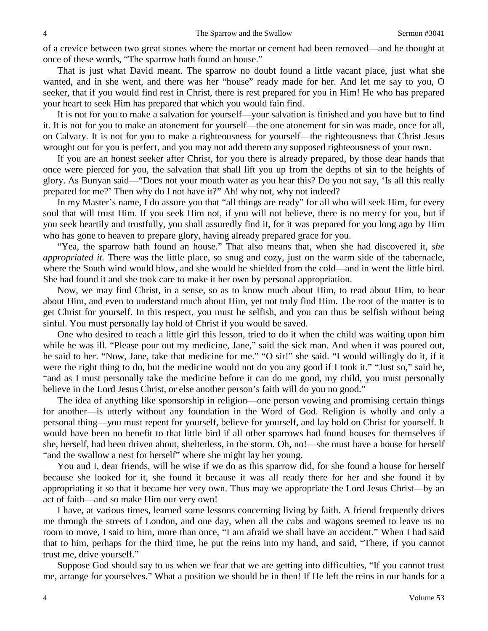of a crevice between two great stones where the mortar or cement had been removed—and he thought at once of these words, "The sparrow hath found an house."

That is just what David meant. The sparrow no doubt found a little vacant place, just what she wanted, and in she went, and there was her "house" ready made for her. And let me say to you, O seeker, that if you would find rest in Christ, there is rest prepared for you in Him! He who has prepared your heart to seek Him has prepared that which you would fain find.

It is not for you to make a salvation for yourself—your salvation is finished and you have but to find it. It is not for you to make an atonement for yourself—the one atonement for sin was made, once for all, on Calvary. It is not for you to make a righteousness for yourself—the righteousness that Christ Jesus wrought out for you is perfect, and you may not add thereto any supposed righteousness of your own.

If you are an honest seeker after Christ, for you there is already prepared, by those dear hands that once were pierced for you, the salvation that shall lift you up from the depths of sin to the heights of glory. As Bunyan said—"Does not your mouth water as you hear this? Do you not say, 'Is all this really prepared for me?' Then why do I not have it?" Ah! why not, why not indeed?

In my Master's name, I do assure you that "all things are ready" for all who will seek Him, for every soul that will trust Him. If you seek Him not, if you will not believe, there is no mercy for you, but if you seek heartily and trustfully, you shall assuredly find it, for it was prepared for you long ago by Him who has gone to heaven to prepare glory, having already prepared grace for you.

"Yea, the sparrow hath found an house." That also means that, when she had discovered it, *she appropriated it.* There was the little place, so snug and cozy, just on the warm side of the tabernacle, where the South wind would blow, and she would be shielded from the cold—and in went the little bird. She had found it and she took care to make it her own by personal appropriation.

Now, we may find Christ, in a sense, so as to know much about Him, to read about Him, to hear about Him, and even to understand much about Him, yet not truly find Him. The root of the matter is to get Christ for yourself. In this respect, you must be selfish, and you can thus be selfish without being sinful. You must personally lay hold of Christ if you would be saved.

One who desired to teach a little girl this lesson, tried to do it when the child was waiting upon him while he was ill. "Please pour out my medicine, Jane," said the sick man. And when it was poured out, he said to her. "Now, Jane, take that medicine for me." "O sir!" she said. "I would willingly do it, if it were the right thing to do, but the medicine would not do you any good if I took it." "Just so," said he, "and as I must personally take the medicine before it can do me good, my child, you must personally believe in the Lord Jesus Christ, or else another person's faith will do you no good."

The idea of anything like sponsorship in religion—one person vowing and promising certain things for another—is utterly without any foundation in the Word of God. Religion is wholly and only a personal thing—you must repent for yourself, believe for yourself, and lay hold on Christ for yourself. It would have been no benefit to that little bird if all other sparrows had found houses for themselves if she, herself, had been driven about, shelterless, in the storm. Oh, no!—she must have a house for herself "and the swallow a nest for herself" where she might lay her young.

You and I, dear friends, will be wise if we do as this sparrow did, for she found a house for herself because she looked for it, she found it because it was all ready there for her and she found it by appropriating it so that it became her very own. Thus may we appropriate the Lord Jesus Christ—by an act of faith—and so make Him our very own!

I have, at various times, learned some lessons concerning living by faith. A friend frequently drives me through the streets of London, and one day, when all the cabs and wagons seemed to leave us no room to move, I said to him, more than once, "I am afraid we shall have an accident." When I had said that to him, perhaps for the third time, he put the reins into my hand, and said, "There, if you cannot trust me, drive yourself."

Suppose God should say to us when we fear that we are getting into difficulties, "If you cannot trust me, arrange for yourselves." What a position we should be in then! If He left the reins in our hands for a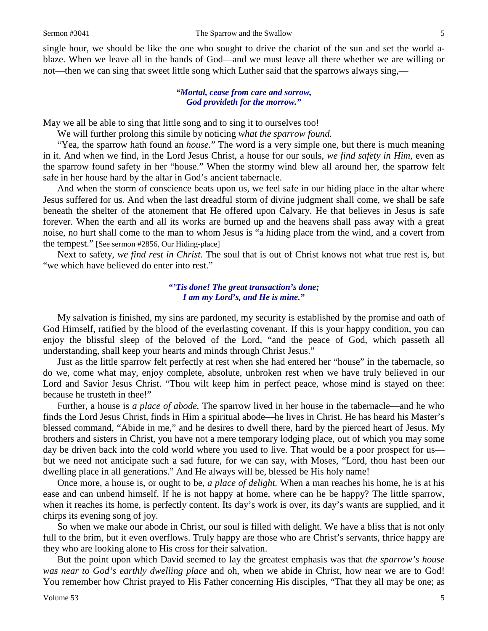single hour, we should be like the one who sought to drive the chariot of the sun and set the world ablaze. When we leave all in the hands of God—and we must leave all there whether we are willing or not—then we can sing that sweet little song which Luther said that the sparrows always sing,—

#### *"Mortal, cease from care and sorrow, God provideth for the morrow."*

May we all be able to sing that little song and to sing it to ourselves too!

We will further prolong this simile by noticing *what the sparrow found.*

"Yea, the sparrow hath found an *house.*" The word is a very simple one, but there is much meaning in it. And when we find, in the Lord Jesus Christ, a house for our souls, *we find safety in Him,* even as the sparrow found safety in her "house." When the stormy wind blew all around her, the sparrow felt safe in her house hard by the altar in God's ancient tabernacle.

And when the storm of conscience beats upon us, we feel safe in our hiding place in the altar where Jesus suffered for us. And when the last dreadful storm of divine judgment shall come, we shall be safe beneath the shelter of the atonement that He offered upon Calvary. He that believes in Jesus is safe forever. When the earth and all its works are burned up and the heavens shall pass away with a great noise, no hurt shall come to the man to whom Jesus is "a hiding place from the wind, and a covert from the tempest." [See sermon #2856, Our Hiding-place]

Next to safety, *we find rest in Christ.* The soul that is out of Christ knows not what true rest is, but "we which have believed do enter into rest."

#### *"'Tis done! The great transaction's done; I am my Lord's, and He is mine."*

My salvation is finished, my sins are pardoned, my security is established by the promise and oath of God Himself, ratified by the blood of the everlasting covenant. If this is your happy condition, you can enjoy the blissful sleep of the beloved of the Lord, "and the peace of God, which passeth all understanding, shall keep your hearts and minds through Christ Jesus."

Just as the little sparrow felt perfectly at rest when she had entered her "house" in the tabernacle, so do we, come what may, enjoy complete, absolute, unbroken rest when we have truly believed in our Lord and Savior Jesus Christ. "Thou wilt keep him in perfect peace, whose mind is stayed on thee: because he trusteth in thee!"

Further, a house is *a place of abode.* The sparrow lived in her house in the tabernacle—and he who finds the Lord Jesus Christ, finds in Him a spiritual abode—he lives in Christ. He has heard his Master's blessed command, "Abide in me," and he desires to dwell there, hard by the pierced heart of Jesus. My brothers and sisters in Christ, you have not a mere temporary lodging place, out of which you may some day be driven back into the cold world where you used to live. That would be a poor prospect for us but we need not anticipate such a sad future, for we can say, with Moses, "Lord, thou hast been our dwelling place in all generations." And He always will be, blessed be His holy name!

Once more, a house is, or ought to be, *a place of delight.* When a man reaches his home, he is at his ease and can unbend himself. If he is not happy at home, where can he be happy? The little sparrow, when it reaches its home, is perfectly content. Its day's work is over, its day's wants are supplied, and it chirps its evening song of joy.

So when we make our abode in Christ, our soul is filled with delight. We have a bliss that is not only full to the brim, but it even overflows. Truly happy are those who are Christ's servants, thrice happy are they who are looking alone to His cross for their salvation.

But the point upon which David seemed to lay the greatest emphasis was that *the sparrow's house was near to God's earthly dwelling place* and oh, when we abide in Christ, how near we are to God! You remember how Christ prayed to His Father concerning His disciples, "That they all may be one; as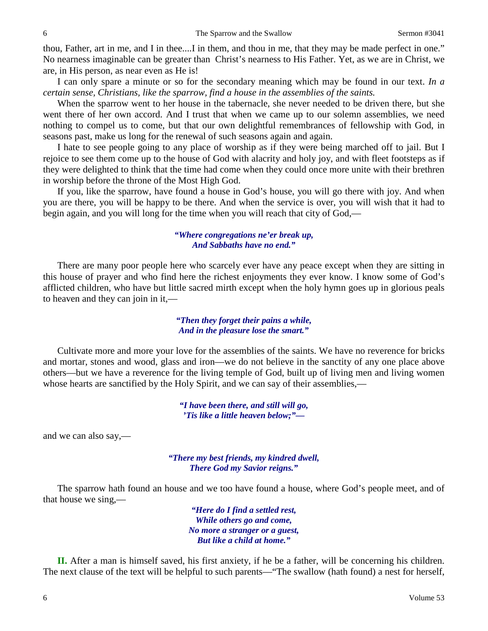thou, Father, art in me, and I in thee....I in them, and thou in me, that they may be made perfect in one." No nearness imaginable can be greater than Christ's nearness to His Father. Yet, as we are in Christ, we are, in His person, as near even as He is!

I can only spare a minute or so for the secondary meaning which may be found in our text. *In a certain sense, Christians, like the sparrow, find a house in the assemblies of the saints.*

When the sparrow went to her house in the tabernacle, she never needed to be driven there, but she went there of her own accord. And I trust that when we came up to our solemn assemblies, we need nothing to compel us to come, but that our own delightful remembrances of fellowship with God, in seasons past, make us long for the renewal of such seasons again and again.

I hate to see people going to any place of worship as if they were being marched off to jail. But I rejoice to see them come up to the house of God with alacrity and holy joy, and with fleet footsteps as if they were delighted to think that the time had come when they could once more unite with their brethren in worship before the throne of the Most High God.

If you, like the sparrow, have found a house in God's house, you will go there with joy. And when you are there, you will be happy to be there. And when the service is over, you will wish that it had to begin again, and you will long for the time when you will reach that city of God,—

#### *"Where congregations ne'er break up, And Sabbaths have no end."*

There are many poor people here who scarcely ever have any peace except when they are sitting in this house of prayer and who find here the richest enjoyments they ever know. I know some of God's afflicted children, who have but little sacred mirth except when the holy hymn goes up in glorious peals to heaven and they can join in it,—

## *"Then they forget their pains a while, And in the pleasure lose the smart."*

Cultivate more and more your love for the assemblies of the saints. We have no reverence for bricks and mortar, stones and wood, glass and iron—we do not believe in the sanctity of any one place above others—but we have a reverence for the living temple of God, built up of living men and living women whose hearts are sanctified by the Holy Spirit, and we can say of their assemblies,—

> *"I have been there, and still will go, 'Tis like a little heaven below;"—*

and we can also say,—

*"There my best friends, my kindred dwell, There God my Savior reigns."*

The sparrow hath found an house and we too have found a house, where God's people meet, and of that house we sing,—

> *"Here do I find a settled rest, While others go and come, No more a stranger or a guest, But like a child at home."*

**II.** After a man is himself saved, his first anxiety, if he be a father, will be concerning his children. The next clause of the text will be helpful to such parents—"The swallow (hath found) a nest for herself,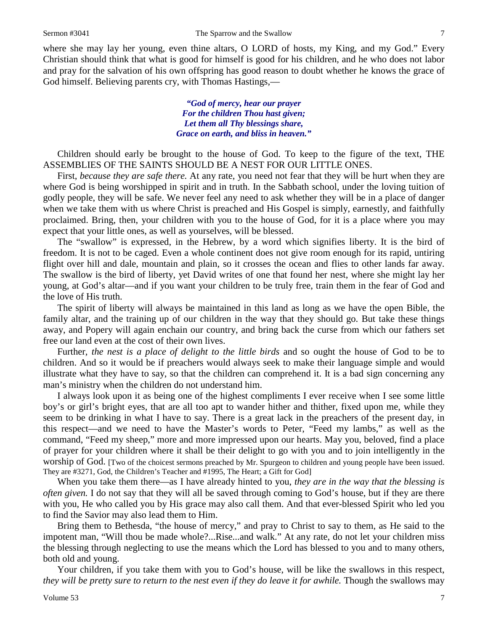where she may lay her young, even thine altars, O LORD of hosts, my King, and my God." Every Christian should think that what is good for himself is good for his children, and he who does not labor and pray for the salvation of his own offspring has good reason to doubt whether he knows the grace of God himself. Believing parents cry, with Thomas Hastings,—

> *"God of mercy, hear our prayer For the children Thou hast given; Let them all Thy blessings share, Grace on earth, and bliss in heaven."*

Children should early be brought to the house of God. To keep to the figure of the text, THE ASSEMBLIES OF THE SAINTS SHOULD BE A NEST FOR OUR LITTLE ONES.

First, *because they are safe there.* At any rate, you need not fear that they will be hurt when they are where God is being worshipped in spirit and in truth. In the Sabbath school, under the loving tuition of godly people, they will be safe. We never feel any need to ask whether they will be in a place of danger when we take them with us where Christ is preached and His Gospel is simply, earnestly, and faithfully proclaimed. Bring, then, your children with you to the house of God, for it is a place where you may expect that your little ones, as well as yourselves, will be blessed.

The "swallow" is expressed, in the Hebrew, by a word which signifies liberty. It is the bird of freedom. It is not to be caged. Even a whole continent does not give room enough for its rapid, untiring flight over hill and dale, mountain and plain, so it crosses the ocean and flies to other lands far away. The swallow is the bird of liberty, yet David writes of one that found her nest, where she might lay her young, at God's altar—and if you want your children to be truly free, train them in the fear of God and the love of His truth.

The spirit of liberty will always be maintained in this land as long as we have the open Bible, the family altar, and the training up of our children in the way that they should go. But take these things away, and Popery will again enchain our country, and bring back the curse from which our fathers set free our land even at the cost of their own lives.

Further, *the nest is a place of delight to the little birds* and so ought the house of God to be to children. And so it would be if preachers would always seek to make their language simple and would illustrate what they have to say, so that the children can comprehend it. It is a bad sign concerning any man's ministry when the children do not understand him.

I always look upon it as being one of the highest compliments I ever receive when I see some little boy's or girl's bright eyes, that are all too apt to wander hither and thither, fixed upon me, while they seem to be drinking in what I have to say. There is a great lack in the preachers of the present day, in this respect—and we need to have the Master's words to Peter, "Feed my lambs," as well as the command, "Feed my sheep," more and more impressed upon our hearts. May you, beloved, find a place of prayer for your children where it shall be their delight to go with you and to join intelligently in the worship of God. [Two of the choicest sermons preached by Mr. Spurgeon to children and young people have been issued. They are #3271, God, the Children's Teacher and #1995, The Heart; a Gift for God]

When you take them there—as I have already hinted to you, *they are in the way that the blessing is often given.* I do not say that they will all be saved through coming to God's house, but if they are there with you, He who called you by His grace may also call them. And that ever-blessed Spirit who led you to find the Savior may also lead them to Him.

Bring them to Bethesda, "the house of mercy," and pray to Christ to say to them, as He said to the impotent man, "Will thou be made whole?...Rise...and walk." At any rate, do not let your children miss the blessing through neglecting to use the means which the Lord has blessed to you and to many others, both old and young.

Your children, if you take them with you to God's house, will be like the swallows in this respect, *they will be pretty sure to return to the nest even if they do leave it for awhile.* Though the swallows may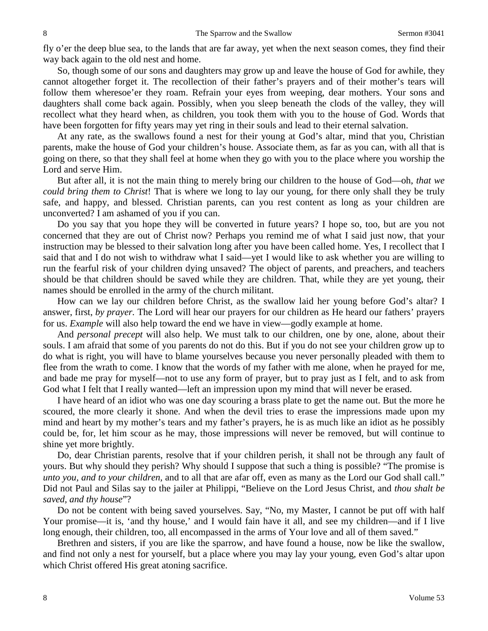fly o'er the deep blue sea, to the lands that are far away, yet when the next season comes, they find their way back again to the old nest and home.

So, though some of our sons and daughters may grow up and leave the house of God for awhile, they cannot altogether forget it. The recollection of their father's prayers and of their mother's tears will follow them wheresoe'er they roam. Refrain your eyes from weeping, dear mothers. Your sons and daughters shall come back again. Possibly, when you sleep beneath the clods of the valley, they will recollect what they heard when, as children, you took them with you to the house of God. Words that have been forgotten for fifty years may yet ring in their souls and lead to their eternal salvation.

At any rate, as the swallows found a nest for their young at God's altar, mind that you, Christian parents, make the house of God your children's house. Associate them, as far as you can, with all that is going on there, so that they shall feel at home when they go with you to the place where you worship the Lord and serve Him.

But after all, it is not the main thing to merely bring our children to the house of God—oh, *that we could bring them to Christ*! That is where we long to lay our young, for there only shall they be truly safe, and happy, and blessed. Christian parents, can you rest content as long as your children are unconverted? I am ashamed of you if you can.

Do you say that you hope they will be converted in future years? I hope so, too, but are you not concerned that they are out of Christ now? Perhaps you remind me of what I said just now, that your instruction may be blessed to their salvation long after you have been called home. Yes, I recollect that I said that and I do not wish to withdraw what I said—yet I would like to ask whether you are willing to run the fearful risk of your children dying unsaved? The object of parents, and preachers, and teachers should be that children should be saved while they are children. That, while they are yet young, their names should be enrolled in the army of the church militant.

How can we lay our children before Christ, as the swallow laid her young before God's altar? I answer, first, *by prayer.* The Lord will hear our prayers for our children as He heard our fathers' prayers for us. *Example* will also help toward the end we have in view—godly example at home.

And *personal precept* will also help. We must talk to our children, one by one, alone, about their souls. I am afraid that some of you parents do not do this. But if you do not see your children grow up to do what is right, you will have to blame yourselves because you never personally pleaded with them to flee from the wrath to come. I know that the words of my father with me alone, when he prayed for me, and bade me pray for myself—not to use any form of prayer, but to pray just as I felt, and to ask from God what I felt that I really wanted—left an impression upon my mind that will never be erased.

I have heard of an idiot who was one day scouring a brass plate to get the name out. But the more he scoured, the more clearly it shone. And when the devil tries to erase the impressions made upon my mind and heart by my mother's tears and my father's prayers, he is as much like an idiot as he possibly could be, for, let him scour as he may, those impressions will never be removed, but will continue to shine yet more brightly.

Do, dear Christian parents, resolve that if your children perish, it shall not be through any fault of yours. But why should they perish? Why should I suppose that such a thing is possible? "The promise is *unto you, and to your children,* and to all that are afar off, even as many as the Lord our God shall call." Did not Paul and Silas say to the jailer at Philippi, "Believe on the Lord Jesus Christ, and *thou shalt be saved, and thy house*"?

Do not be content with being saved yourselves. Say, "No, my Master, I cannot be put off with half Your promise—it is, 'and thy house,' and I would fain have it all, and see my children—and if I live long enough, their children, too, all encompassed in the arms of Your love and all of them saved."

Brethren and sisters, if you are like the sparrow, and have found a house, now be like the swallow, and find not only a nest for yourself, but a place where you may lay your young, even God's altar upon which Christ offered His great atoning sacrifice.